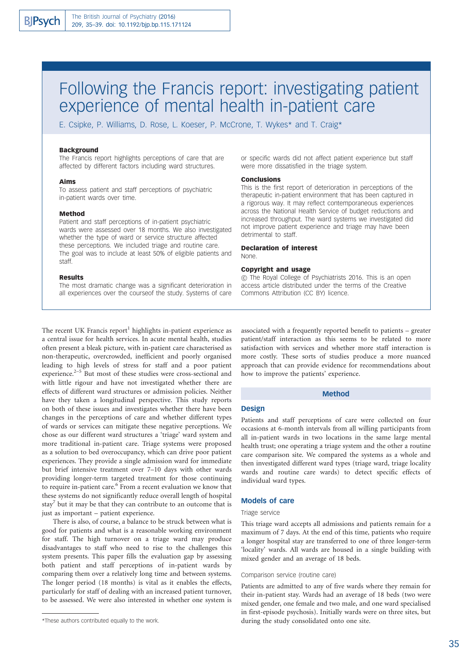# Following the Francis report: investigating patient experience of mental health in-patient care

E. Csipke, P. Williams, D. Rose, L. Koeser, P. McCrone, T. Wykes\* and T. Craig\*

#### Background

The Francis report highlights perceptions of care that are affected by different factors including ward structures.

#### Aims

To assess patient and staff perceptions of psychiatric in-patient wards over time.

#### Method

Patient and staff perceptions of in-patient psychiatric wards were assessed over 18 months. We also investigated whether the type of ward or service structure affected these perceptions. We included triage and routine care. The goal was to include at least 50% of eligible patients and staff.

#### Results

The most dramatic change was a significant deterioration in all experiences over the courseof the study. Systems of care

or specific wards did not affect patient experience but staff were more dissatisfied in the triage system.

#### Conclusions

This is the first report of deterioration in perceptions of the therapeutic in-patient environment that has been captured in a rigorous way. It may reflect contemporaneous experiences across the National Health Service of budget reductions and increased throughput. The ward systems we investigated did not improve patient experience and triage may have been detrimental to staff.

#### Declaration of interest

None.

#### Copyright and usage

*B* The Royal College of Psychiatrists 2016. This is an open access article distributed under the terms of the Creative Commons Attribution (CC BY) licence.

The recent UK Francis report<sup>1</sup> highlights in-patient experience as a central issue for health services. In acute mental health, studies often present a bleak picture, with in-patient care characterised as non-therapeutic, overcrowded, inefficient and poorly organised leading to high levels of stress for staff and a poor patient experience.<sup>2–5</sup> But most of these studies were cross-sectional and with little rigour and have not investigated whether there are effects of different ward structures or admission policies. Neither have they taken a longitudinal perspective. This study reports on both of these issues and investigates whether there have been changes in the perceptions of care and whether different types of wards or services can mitigate these negative perceptions. We chose as our different ward structures a 'triage' ward system and more traditional in-patient care. Triage systems were proposed as a solution to bed overoccupancy, which can drive poor patient experiences. They provide a single admission ward for immediate but brief intensive treatment over 7–10 days with other wards providing longer-term targeted treatment for those continuing to require in-patient care.<sup>6</sup> From a recent evaluation we know that these systems do not significantly reduce overall length of hospital stay<sup>7</sup> but it may be that they can contribute to an outcome that is just as important – patient experience.

There is also, of course, a balance to be struck between what is good for patients and what is a reasonable working environment for staff. The high turnover on a triage ward may produce disadvantages to staff who need to rise to the challenges this system presents. This paper fills the evaluation gap by assessing both patient and staff perceptions of in-patient wards by comparing them over a relatively long time and between systems. The longer period (18 months) is vital as it enables the effects, particularly for staff of dealing with an increased patient turnover, to be assessed. We were also interested in whether one system is

\*These authors contributed equally to the work.

associated with a frequently reported benefit to patients – greater patient/staff interaction as this seems to be related to more satisfaction with services and whether more staff interaction is more costly. These sorts of studies produce a more nuanced approach that can provide evidence for recommendations about how to improve the patients' experience.

#### Method

#### **Design**

Patients and staff perceptions of care were collected on four occasions at 6-month intervals from all willing participants from all in-patient wards in two locations in the same large mental health trust; one operating a triage system and the other a routine care comparison site. We compared the systems as a whole and then investigated different ward types (triage ward, triage locality wards and routine care wards) to detect specific effects of individual ward types.

#### Models of care

#### Triage service

This triage ward accepts all admissions and patients remain for a maximum of 7 days. At the end of this time, patients who require a longer hospital stay are transferred to one of three longer-term 'locality' wards. All wards are housed in a single building with mixed gender and an average of 18 beds.

#### Comparison service (routine care)

Patients are admitted to any of five wards where they remain for their in-patient stay. Wards had an average of 18 beds (two were mixed gender, one female and two male, and one ward specialised in first-episode psychosis). Initially wards were on three sites, but during the study consolidated onto one site.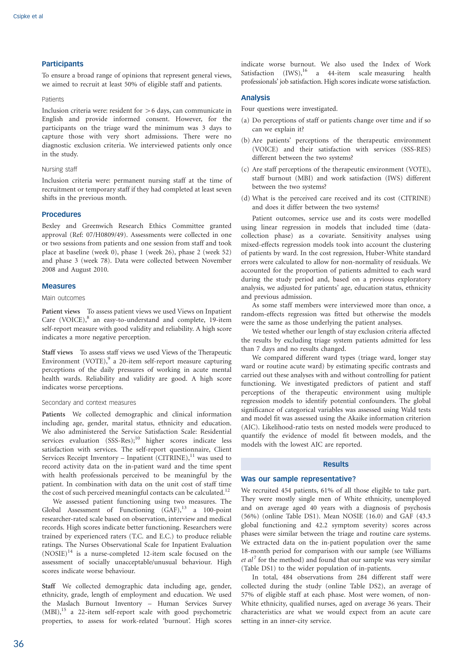#### **Participants**

To ensure a broad range of opinions that represent general views, we aimed to recruit at least 50% of eligible staff and patients.

#### Patients

Inclusion criteria were: resident for  $>6$  days, can communicate in English and provide informed consent. However, for the participants on the triage ward the minimum was 3 days to capture those with very short admissions. There were no diagnostic exclusion criteria. We interviewed patients only once in the study.

#### Nursing staff

Inclusion criteria were: permanent nursing staff at the time of recruitment or temporary staff if they had completed at least seven shifts in the previous month.

#### Procedures

Bexley and Greenwich Research Ethics Committee granted approval (Ref: 07/H0809/49). Assessments were collected in one or two sessions from patients and one session from staff and took place at baseline (week 0), phase 1 (week 26), phase 2 (week 52) and phase 3 (week 78). Data were collected between November 2008 and August 2010.

#### **Measures**

#### Main outcomes

Patient views To assess patient views we used Views on Inpatient Care (VOICE),<sup>8</sup> an easy-to-understand and complete, 19-item self-report measure with good validity and reliability. A high score indicates a more negative perception.

Staff views To assess staff views we used Views of the Therapeutic Environment (VOTE),<sup>9</sup> a 20-item self-report measure capturing perceptions of the daily pressures of working in acute mental health wards. Reliability and validity are good. A high score indicates worse perceptions.

#### Secondary and context measures

Patients We collected demographic and clinical information including age, gender, marital status, ethnicity and education. We also administered the Service Satisfaction Scale: Residential services evaluation (SSS-Res);<sup>10</sup> higher scores indicate less satisfaction with services. The self-report questionnaire, Client Services Receipt Inventory – Inpatient  $\widehat{(CITRINE)}$ ,<sup>11</sup> was used to record activity data on the in-patient ward and the time spent with health professionals perceived to be meaningful by the patient. In combination with data on the unit cost of staff time the cost of such perceived meaningful contacts can be calculated.<sup>12</sup>

We assessed patient functioning using two measures. The Global Assessment of Functioning  $(GAF)$ ,  $^{13}$  a 100-point researcher-rated scale based on observation, interview and medical records. High scores indicate better functioning. Researchers were trained by experienced raters (T.C. and E.C.) to produce reliable ratings. The Nurses Observational Scale for Inpatient Evaluation  $(NOSE)^{14}$  is a nurse-completed 12-item scale focused on the assessment of socially unacceptable/unusual behaviour. High scores indicate worse behaviour.

Staff We collected demographic data including age, gender, ethnicity, grade, length of employment and education. We used the Maslach Burnout Inventory – Human Services Survey (MBI),<sup>15</sup> a 22-item self-report scale with good psychometric properties, to assess for work-related 'burnout'. High scores

indicate worse burnout. We also used the Index of Work Satisfaction  $(IWS)$ , <sup>16</sup> a 44-item scale measuring health professionals' job satisfaction. High scores indicate worse satisfaction.

#### Analysis

Four questions were investigated.

- (a) Do perceptions of staff or patients change over time and if so can we explain it?
- (b) Are patients' perceptions of the therapeutic environment (VOICE) and their satisfaction with services (SSS-RES) different between the two systems?
- (c) Are staff perceptions of the therapeutic environment (VOTE), staff burnout (MBI) and work satisfaction (IWS) different between the two systems?
- (d) What is the perceived care received and its cost (CITRINE) and does it differ between the two systems?

Patient outcomes, service use and its costs were modelled using linear regression in models that included time (datacollection phase) as a covariate. Sensitivity analyses using mixed-effects regression models took into account the clustering of patients by ward. In the cost regression, Huber-White standard errors were calculated to allow for non-normality of residuals. We accounted for the proportion of patients admitted to each ward during the study period and, based on a previous exploratory analysis, we adjusted for patients' age, education status, ethnicity and previous admission.

As some staff members were interviewed more than once, a random-effects regression was fitted but otherwise the models were the same as those underlying the patient analyses.

We tested whether our length of stay exclusion criteria affected the results by excluding triage system patients admitted for less than 7 days and no results changed.

We compared different ward types (triage ward, longer stay ward or routine acute ward) by estimating specific contrasts and carried out these analyses with and without controlling for patient functioning. We investigated predictors of patient and staff perceptions of the therapeutic environment using multiple regression models to identify potential confounders. The global significance of categorical variables was assessed using Wald tests and model fit was assessed using the Akaike information criterion (AIC). Likelihood-ratio tests on nested models were produced to quantify the evidence of model fit between models, and the models with the lowest AIC are reported.

#### Results

#### Was our sample representative?

We recruited 454 patients, 61% of all those eligible to take part. They were mostly single men of White ethnicity, unemployed and on average aged 40 years with a diagnosis of psychosis (56%) (online Table DS1). Mean NOSIE (16.0) and GAF (43.3 global functioning and 42.2 symptom severity) scores across phases were similar between the triage and routine care systems. We extracted data on the in-patient population over the same 18-month period for comparison with our sample (see Williams  $et al<sup>7</sup>$  for the method) and found that our sample was very similar (Table DS1) to the wider population of in-patients.

In total, 484 observations from 284 different staff were collected during the study (online Table DS2), an average of 57% of eligible staff at each phase. Most were women, of non-White ethnicity, qualified nurses, aged on average 36 years. Their characteristics are what we would expect from an acute care setting in an inner-city service.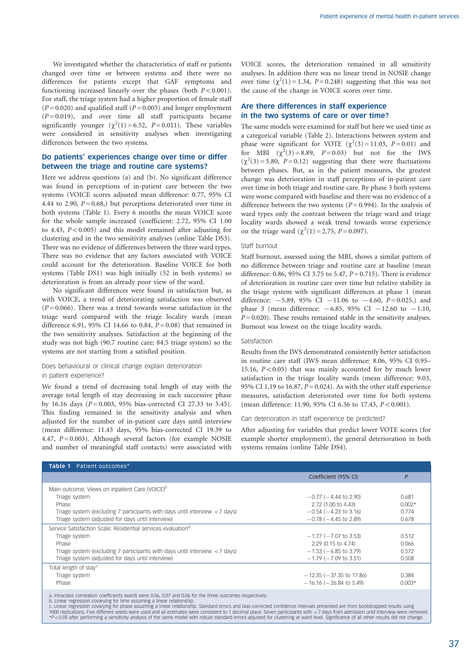We investigated whether the characteristics of staff or patients changed over time or between systems and there were no differences for patients except that GAF symptoms and functioning increased linearly over the phases (both  $P < 0.001$ ). For staff, the triage system had a higher proportion of female staff  $(P = 0.020)$  and qualified staff  $(P = 0.003)$  and longer employment  $(P = 0.019)$ , and over time all staff participants became significantly younger  $(\chi^2(1) = 6.52, P = 0.011)$ . These variables were considered in sensitivity analyses when investigating differences between the two systems.

#### Do patients' experiences change over time or differ between the triage and routine care systems?

Here we address questions (a) and (b). No significant difference was found in perceptions of in-patient care between the two systems (VOICE scores adjusted mean difference: 0.77, 95% CI 4.44 to 2.90,  $P = 0.68$ ,) but perceptions deteriorated over time in both systems (Table 1). Every 6 months the mean VOICE score for the whole sample increased (coefficient: 2.72, 95% CI 1.00 to 4.43,  $P<0.005$ ) and this model remained after adjusting for clustering and in the two sensitivity analyses (online Table DS3). There was no evidence of differences between the three ward types. There was no evidence that any factors associated with VOICE could account for the deterioration. Baseline VOICE for both systems (Table DS1) was high initially (52 in both systems) so deterioration is from an already poor view of the ward.

No significant differences were found in satisfaction but, as with VOICE, a trend of deteriorating satisfaction was observed  $(P = 0.066)$ . There was a trend towards worse satisfaction in the triage ward compared with the triage locality wards (mean difference 6.91, 95% CI 14.66 to 0.84,  $P = 0.08$ ) that remained in the two sensitivity analyses. Satisfaction at the beginning of the study was not high (90.7 routine care; 84.5 triage system) so the systems are not starting from a satisfied position.

#### Does behavioural or clinical change explain deterioration in patient experience?

We found a trend of decreasing total length of stay with the average total length of stay decreasing in each successive phase by 16.16 days ( $P = 0.003$ , 95% bias-corrected CI 27.33 to 5.45). This finding remained in the sensitivity analysis and when adjusted for the number of in-patient care days until interview (mean difference: 11.43 days, 95% bias-corrected CI 19.39 to 4.47,  $P = 0.003$ ). Although several factors (for example NOSIE and number of meaningful staff contacts) were associated with VOICE scores, the deterioration remained in all sensitivity analyses. In addition there was no linear trend in NOSIE change over time  $(\chi^2(1) = 1.34, P = 0.248)$  suggesting that this was not the cause of the change in VOICE scores over time.

#### Are there differences in staff experience in the two systems of care or over time?

The same models were examined for staff but here we used time as a categorical variable (Table 2). Interactions between system and phase were significant for VOTE ( $\chi^2(3) = 11.03$ ,  $P = 0.01$ ) and for MBI  $(\chi^2(3) = 8.89, P = 0.03)$  but not for the IWS  $(\chi^2(3) = 5.80, P = 0.12)$  suggesting that there were fluctuations between phases. But, as in the patient measures, the greatest change was deterioration in staff perceptions of in-patient care over time in both triage and routine care. By phase 3 both systems were worse compared with baseline and there was no evidence of a difference between the two systems  $(P=0.994)$ . In the analysis of ward types only the contrast between the triage ward and triage locality wards showed a weak trend towards worse experience on the triage ward  $(\chi^2(1) = 2.75, P = 0.097)$ .

#### Staff burnout

Staff burnout, assessed using the MBI, shows a similar pattern of no difference between triage and routine care at baseline (mean difference: 0.86, 95% CI 3.75 to 5.47,  $P = 0.715$ ). There is evidence of deterioration in routine care over time but relative stability in the triage system with significant differences at phase 1 (mean difference:  $-5.89$ , 95% CI  $-11.06$  to  $-4.60$ ,  $P= 0.025$ ,) and phase 3 (mean difference:  $-6.85$ , 95% CI  $-12.60$  to  $-1.10$ ,  $P = 0.020$ ). These results remained stable in the sensitivity analyses. Burnout was lowest on the triage locality wards.

#### **Satisfaction**

Results from the IWS demonstrated consistently better satisfaction in routine care staff (IWS mean difference: 8.06, 95% CI 0.95– 15.16,  $P < 0.05$ ) that was mainly accounted for by much lower satisfaction in the triage locality wards (mean difference: 9.03, 95% CI 1.19 to 16.87,  $P = 0.024$ ). As with the other staff experience measures, satisfaction deteriorated over time for both systems (mean difference: 11.90, 95% CI 6.36 to 17.43,  $P < 0.001$ ).

#### Can deterioration in staff experience be predicted?

After adjusting for variables that predict lower VOTE scores (for example shorter employment), the general deterioration in both systems remains (online Table DS4).

| Table 1 Patient outcomes <sup>a</sup>                                                                     |                               |          |
|-----------------------------------------------------------------------------------------------------------|-------------------------------|----------|
|                                                                                                           | Coefficient (95% CI)          | P        |
| Main outcome: Views on Inpatient Care (VOICE) <sup>b</sup>                                                |                               |          |
| Triage system                                                                                             | $-0.77$ ( $-4.44$ to 2.90)    | 0.681    |
| Phase                                                                                                     | 2.72 (1.00 to 4.43)           | $0.002*$ |
| Triage system (excluding 7 participants with days until interview $\langle$ 7 days)                       | $-0.54$ ( $-4.23$ to 3.16)    | 0.774    |
| Triage system (adjusted for days until interview)                                                         | $-0.78$ ( $-4.45$ to 2.89)    | 0.678    |
| Service Satisfaction Scale: Residential services evaluation <sup>b</sup>                                  |                               |          |
| Triage system                                                                                             | $-1.77$ ( $-7.07$ to 3.53)    | 0.512    |
| Phase                                                                                                     | 2.29 (0.15 to 4.74)           | 0.066    |
| Triage system (excluding 7 participants with days until interview $\langle$ 7 days)                       | $-1.53$ ( $-6.85$ to 3.79)    | 0.572    |
| Triage system (adjusted for days until interview)                                                         | $-1.79$ ( $-7.09$ to 3.51)    | 0.508    |
| Total length of stay <sup>c</sup>                                                                         |                               |          |
| Triage system                                                                                             | $-12.35$ ( $-37.35$ to 17.86) | 0.384    |
| Phase                                                                                                     | $-16.16$ ( $-26.84$ to 5.49)  | $0.003*$ |
| a Intraclass correlation coefficients (ward) were 0.06, 0.07 and 0.06 for the three outcomes respectively |                               |          |

a. Intraclass correlation coefficients (ward) were 0.06, 0.07 and 0.06 for the three outcomes respectively. b. Linear regression covarying for time assuming a linear relationship.

c. Linear regression covarying for phase assuming a linear relationship. Standard errors and bias-corrected confidence intervals presented are from bootstrapped results using<br>1000 replications. Five different seeds were a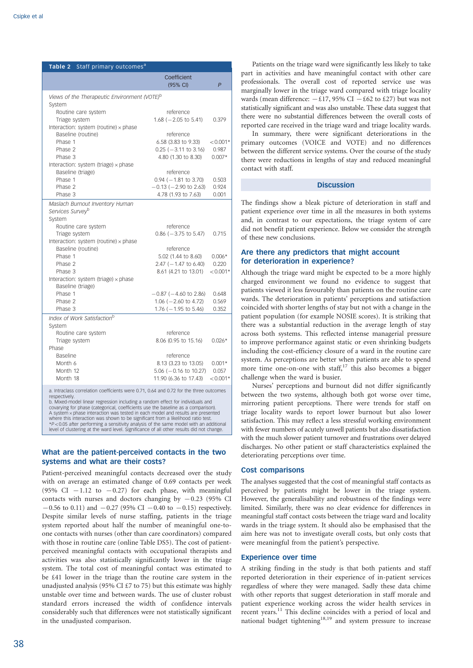| Table 2_<br>Staff primary outcomes <sup>a</sup>                                                                                                                                                                                                                                                                                                                                                                                                              |                                                                                             |                                 |
|--------------------------------------------------------------------------------------------------------------------------------------------------------------------------------------------------------------------------------------------------------------------------------------------------------------------------------------------------------------------------------------------------------------------------------------------------------------|---------------------------------------------------------------------------------------------|---------------------------------|
|                                                                                                                                                                                                                                                                                                                                                                                                                                                              | Coefficient<br>(95% CI)                                                                     | $\overline{P}$                  |
| Views of the Therapeutic Environment (VOTE) <sup>b</sup>                                                                                                                                                                                                                                                                                                                                                                                                     |                                                                                             |                                 |
| System<br>Routine care system<br>Triage system<br>Interaction: system (routine) $\times$ phase                                                                                                                                                                                                                                                                                                                                                               | reference<br>$1.68$ ( $-2.05$ to 5.41)                                                      | 0.379                           |
| Baseline (routine)<br>Phase 1<br>Phase 2<br>Phase 3<br>Interaction: system (triage) $\times$ phase                                                                                                                                                                                                                                                                                                                                                           | reference<br>6.58 (3.83 to 9.33)<br>$0.25$ ( $-3.11$ to 3.16)<br>4.80 (1.30 to 8.30)        | $< 0.001*$<br>0.987<br>$0.007*$ |
| Baseline (triage)<br>Phase 1<br>Phase 2<br>Phase 3                                                                                                                                                                                                                                                                                                                                                                                                           | reference<br>$0.94$ ( $-1.81$ to 3.70)<br>$-0.13$ ( $-2.90$ to 2.63)<br>4.78 (1.93 to 7.63) | 0.503<br>0.924<br>0.001         |
| Maslach Burnout Inventory Human<br>Services Survey <sup>b</sup>                                                                                                                                                                                                                                                                                                                                                                                              |                                                                                             |                                 |
| System<br>Routine care system<br>Triage system<br>Interaction: system (routine) $\times$ phase                                                                                                                                                                                                                                                                                                                                                               | reference<br>$0.86$ ( $-3.75$ to 5.47)                                                      | 0.715                           |
| Baseline (routine)<br>Phase 1<br>Phase 2                                                                                                                                                                                                                                                                                                                                                                                                                     | reference<br>5.02 (1.44 to 8.60)<br>$2.47$ ( $-1.47$ to 6.40)                               | $0.006*$<br>0.220               |
| Phase 3<br>Interaction: system (triage) $\times$ phase<br>Baseline (triage)                                                                                                                                                                                                                                                                                                                                                                                  | 8.61 (4.21 to 13.01)                                                                        | $< 0.001*$                      |
| Phase 1<br>Phase 2<br>Phase 3                                                                                                                                                                                                                                                                                                                                                                                                                                | $-0.87$ ( $-4.60$ to 2.86)<br>$1.06$ ( $-2.60$ to 4.72)<br>$1.76$ ( $-1.95$ to 5.46)        | 0.648<br>0.569<br>0.352         |
| Index of Work Satisfaction <sup>b</sup><br>System                                                                                                                                                                                                                                                                                                                                                                                                            |                                                                                             |                                 |
| Routine care system<br>Triage system<br>Phase                                                                                                                                                                                                                                                                                                                                                                                                                | reference<br>8.06 (0.95 to 15.16)                                                           | $0.026*$                        |
| Baseline<br>Month 6<br>Month 12<br>Month 18                                                                                                                                                                                                                                                                                                                                                                                                                  | reference<br>8.13 (3.23 to 13.05)<br>$5.06$ ( $-0.16$ to $10.27$ )<br>11.90 (6.36 to 17.43) | $0.001*$<br>0.057<br>$< 0.001*$ |
| a. Intraclass correlation coefficients were 0.71, 0.64 and 0.72 for the three outcomes<br>respectively.<br>b. Mixed-model linear regression including a random effect for individuals and<br>covarying for phase (categorical, coefficients use the baseline as a comparison).<br>A system $\times$ phase interaction was tested in each model and results are presented<br>where this interaction was shown to be significant from a likelihood ratio test. |                                                                                             |                                 |

where this interaction was shown to be significant from a likelihood ratio test.<br>\*P<0.05 after performing a sensitivity analysis of the same model with an additional<br>level of clustering at the ward level. Significance of a

#### What are the patient-perceived contacts in the two systems and what are their costs?

Patient-perceived meaningful contacts decreased over the study with on average an estimated change of 0.69 contacts per week (95% CI  $-1.12$  to  $-0.27$ ) for each phase, with meaningful contacts with nurses and doctors changing by  $-0.23$  (95% CI  $-0.56$  to 0.11) and  $-0.27$  (95% CI  $-0.40$  to  $-0.15$ ) respectively. Despite similar levels of nurse staffing, patients in the triage system reported about half the number of meaningful one-toone contacts with nurses (other than care coordinators) compared with those in routine care (online Table DS5). The cost of patientperceived meaningful contacts with occupational therapists and activities was also statistically significantly lower in the triage system. The total cost of meaningful contact was estimated to be £41 lower in the triage than the routine care system in the unadjusted analysis (95% CI £7 to 75) but this estimate was highly unstable over time and between wards. The use of cluster robust standard errors increased the width of confidence intervals considerably such that differences were not statistically significant in the unadjusted comparison.

Patients on the triage ward were significantly less likely to take part in activities and have meaningful contact with other care professionals. The overall cost of reported service use was marginally lower in the triage ward compared with triage locality wards (mean difference:  $-£17$ , 95% CI  $-£62$  to £27) but was not statistically significant and was also unstable. These data suggest that there were no substantial differences between the overall costs of reported care received in the triage ward and triage locality wards.

In summary, there were significant deteriorations in the primary outcomes (VOICE and VOTE) and no differences between the different service systems. Over the course of the study there were reductions in lengths of stay and reduced meaningful contact with staff.

#### **Discussion**

The findings show a bleak picture of deterioration in staff and patient experience over time in all the measures in both systems and, in contrast to our expectations, the triage system of care did not benefit patient experience. Below we consider the strength of these new conclusions.

#### Are there any predictors that might account for deterioration in experience?

Although the triage ward might be expected to be a more highly charged environment we found no evidence to suggest that patients viewed it less favourably than patients on the routine care wards. The deterioration in patients' perceptions and satisfaction coincided with shorter lengths of stay but not with a change in the patient population (for example NOSIE scores). It is striking that there was a substantial reduction in the average length of stay across both systems. This reflected intense managerial pressure to improve performance against static or even shrinking budgets including the cost-efficiency closure of a ward in the routine care system. As perceptions are better when patients are able to spend more time one-on-one with staff, $17$  this also becomes a bigger challenge when the ward is busier.

Nurses' perceptions and burnout did not differ significantly between the two systems, although both got worse over time, mirroring patient perceptions. There were trends for staff on triage locality wards to report lower burnout but also lower satisfaction. This may reflect a less stressful working environment with fewer numbers of acutely unwell patients but also dissatisfaction with the much slower patient turnover and frustrations over delayed discharges. No other patient or staff characteristics explained the deteriorating perceptions over time.

#### Cost comparisons

The analyses suggested that the cost of meaningful staff contacts as perceived by patients might be lower in the triage system. However, the generalisability and robustness of the findings were limited. Similarly, there was no clear evidence for differences in meaningful staff contact costs between the triage ward and locality wards in the triage system. It should also be emphasised that the aim here was not to investigate overall costs, but only costs that were meaningful from the patient's perspective.

#### Experience over time

A striking finding in the study is that both patients and staff reported deterioration in their experience of in-patient services regardless of where they were managed. Sadly these data chime with other reports that suggest deterioration in staff morale and patient experience working across the wider health services in recent years.11 This decline coincides with a period of local and national budget tightening<sup>18,19</sup> and system pressure to increase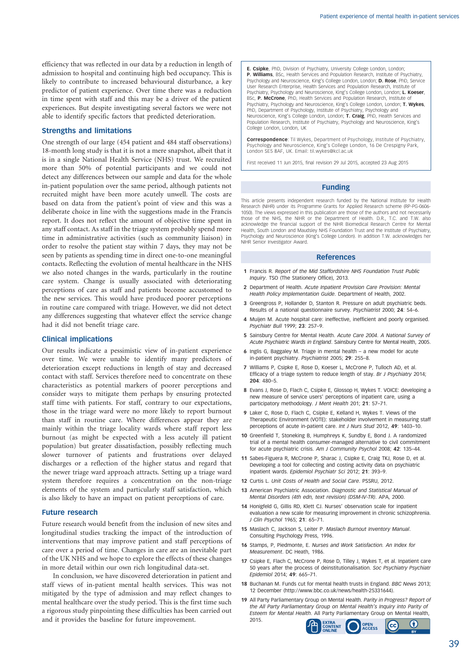efficiency that was reflected in our data by a reduction in length of admission to hospital and continuing high bed occupancy. This is likely to contribute to increased behavioural disturbance, a key predictor of patient experience. Over time there was a reduction in time spent with staff and this may be a driver of the patient experiences. But despite investigating several factors we were not able to identify specific factors that predicted deterioration.

#### Strengths and limitations

One strength of our large (454 patient and 484 staff observations) 18-month long study is that it is not a mere snapshot, albeit that it is in a single National Health Service (NHS) trust. We recruited more than 50% of potential participants and we could not detect any differences between our sample and data for the whole in-patient population over the same period, although patients not recruited might have been more acutely unwell. The costs are based on data from the patient's point of view and this was a deliberate choice in line with the suggestions made in the Francis report. It does not reflect the amount of objective time spent in any staff contact. As staff in the triage system probably spend more time in administrative activities (such as community liaison) in order to resolve the patient stay within 7 days, they may not be seen by patients as spending time in direct one-to-one meaningful contacts. Reflecting the evolution of mental healthcare in the NHS we also noted changes in the wards, particularly in the routine care system. Change is usually associated with deteriorating perceptions of care as staff and patients become accustomed to the new services. This would have produced poorer perceptions in routine care compared with triage. However, we did not detect any differences suggesting that whatever effect the service change had it did not benefit triage care.

#### Clinical implications

Our results indicate a pessimistic view of in-patient experience over time. We were unable to identify many predictors of deterioration except reductions in length of stay and decreased contact with staff. Services therefore need to concentrate on these characteristics as potential markers of poorer perceptions and consider ways to mitigate them perhaps by ensuring protected staff time with patients. For staff, contrary to our expectations, those in the triage ward were no more likely to report burnout than staff in routine care. Where differences appear they are mainly within the triage locality wards where staff report less burnout (as might be expected with a less acutely ill patient population) but greater dissatisfaction, possibly reflecting much slower turnover of patients and frustrations over delayed discharges or a reflection of the higher status and regard that the newer triage ward approach attracts. Setting up a triage ward system therefore requires a concentration on the non-triage elements of the system and particularly staff satisfaction, which is also likely to have an impact on patient perceptions of care.

#### Future research

Future research would benefit from the inclusion of new sites and longitudinal studies tracking the impact of the introduction of interventions that may improve patient and staff perceptions of care over a period of time. Changes in care are an inevitable part of the UK NHS and we hope to explore the effects of these changes in more detail within our own rich longitudinal data-set.

In conclusion, we have discovered deterioration in patient and staff views of in-patient mental health services. This was not mitigated by the type of admission and may reflect changes to mental healthcare over the study period. This is the first time such a rigorous study pinpointing these difficulties has been carried out and it provides the baseline for future improvement.

E. Csipke, PhD, Division of Psychiatry, University College London, London; P. Williams, BSc, Health Services and Population Research, Institute of Psychiatry, Psychology and Neuroscience, King's College London, London; D. Rose, PhD, Service User Research Enterprise, Health Services and Population Research, Institute of Psychiatry, Psychology and Neuroscience, King's College London, London; L. Koeser BSc, P. McCrone, PhD, Health Services and Population Research, Institute of Psychiatry, Psychology and Neuroscience, King's College London, London; T. Wykes, PhD, Department of Psychology, Institute of Psychiatry, Psychology and Neuroscience, King's College London, London; T. Craig, PhD, Health Services and Population Research, Institute of Psychiatry, Psychology and Neuroscience, King's College London, London, UK

Correspondence: Til Wykes, Department of Psychology, Institute of Psychiatry, Psychology and Neuroscience, King's College London, 16 De Crespigny Park, London SE5 8AF, UK. Email: til.wykes@kcl.ac.uk

First received 11 Jun 2015, final revision 29 Jul 2015, accepted 23 Aug 2015

#### Funding

This article presents independent research funded by the National Institute for Health Research (NIHR) under its Programme Grants for Applied Research scheme (RP-PG-0606- 1050). The views expressed in this publication are those of the authors and not necessarily those of the NHS, the NIHR or the Department of Health. D.R., T.C. and T.W. also acknowledge the financial support of the NIHR Biomedical Research Centre for Mental Health, South London and Maudsley NHS Foundation Trust and the Institute of Psychiatry, Psychology and Neuroscience (King's College London). In addition T.W. acknowledges her NIHR Senior Investigator Award.

#### References

- 1 Francis R. Report of the Mid Staffordshire NHS Foundation Trust Public Inquiry. TSO (The Stationery Office), 2013.
- 2 Department of Health. Acute Inpatient Provision Care Provision: Mental Health Policy Implementation Guide. Department of Health, 2002.
- 3 Greengross P, Hollander D, Stanton R. Pressure on adult psychiatric beds. Results of a national questionnaire survey. Psychiatrist 2000; 24: 54–6.
- 4 Muijen M. Acute hospital care: ineffective, inefficient and poorly organised. Psychiatr Bull 1999; 23: 257–9.
- 5 Sainsbury Centre for Mental Health. Acute Care 2004. A National Survey of Acute Psychiatric Wards in England. Sainsbury Centre for Mental Health, 2005.
- 6 Inglis G, Baggaley M. Triage in mental health a new model for acute in-patient psychiatry. Psychiatrist 2005; 29: 255–8.
- 7 Williams P, Csipke E, Rose D, Koeser L, McCrone P, Tulloch AD, et al. Efficacy of a triage system to reduce length of stay. Br J Psychiatry 2014; 204: 480–5.
- 8 Evans J, Rose D, Flach C, Csipke E, Glossop H, Wykes T. VOICE: developing a new measure of service users' perceptions of inpatient care, using a participatory methodology. J Ment Health 201; 21: 57–71.
- 9 Laker C, Rose D, Flach C, Csipke E, Kelland H, Wykes T. Views of the Therapeutic Environment (VOTE): stakeholder involvement in measuring staff perceptions of acute in-patient care. Int J Nurs Stud 2012, 49: 1403–10.
- 10 Greenfield T, Stoneking B, Humphreys K, Sundby E, Bond J. A randomized trial of a mental health consumer-managed alternative to civil commitment for acute psychiatric crisis. Am J Community Psychol 2008; 42: 135–44.
- 11 Sabes-Figuera R, McCrone P, Sharac J, Csipke E, Craig TKJ, Rose D, et al. Developing a tool for collecting and costing activity data on psychiatric inpatient wards. Epidemiol Psychiatr Sci 2012; 21: 393–9.
- 12 Curtis L. Unit Costs of Health and Social Care. PSSRU, 2012.
- 13 American Psychiatric Association. Diagnostic and Statistical Manual of Mental Disorders (4th edn, text revision) (DSM-IV-TR). APA, 2000.
- 14 Honigfeld G, Gillis RD, Klett CJ, Nurses' observation scale for inpatient evaluation a new scale for measuring improvement in chronic schizophrenia. J Clin Psychol 1965; 21: 65–71.
- 15 Maslach C, Jackson S, Leiter P. Maslach Burnout Inventory Manual. Consulting Psychology Press, 1996.
- 16 Stamps, P, Piedmonte, E. Nurses and Work Satisfaction. An Index for Measurement. DC Heath, 1986.
- 17 Csipke E, Flach C, McCrone P, Rose D, Tilley J, Wykes T, et al. Inpatient care 50 years after the process of deinstitutionalisation. Soc Psychiatry Psychiatr Epidemiol 2014; 49: 665–71.
- 18 Buchanan M. Funds cut for mental health trusts in England. BBC News 2013; 12 December (http://www.bbc.co.uk/news/health-25331644).
- 19 All Party Parliamentary Group on Mental Health. Parity in Progress? Report of the All Party Parliamentary Group on Mental Health's Inquiry into Parity of Esteem for Mental Health. All Party Parliamentary Group on Mental Health, 2015.

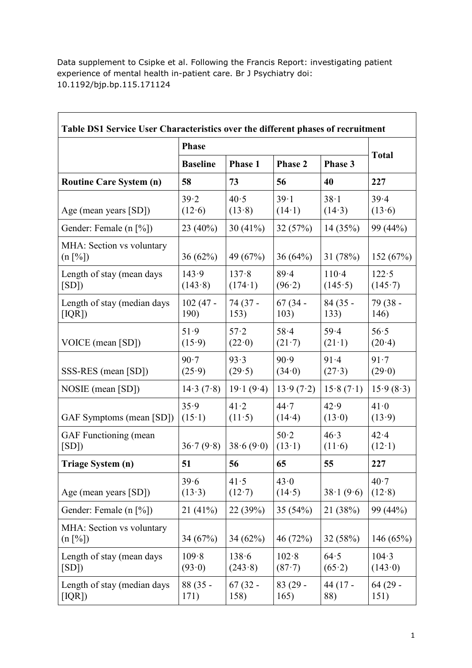Data supplement to Csipke et al. Following the Francis Report: investigating patient experience of mental health in-patient care. Br J Psychiatry doi: 10.1192/bjp.bp.115.171124

| Table DS1 Service User Characteristics over the different phases of recruitment |                    |                                  |                   |                    |                   |  |  |  |  |
|---------------------------------------------------------------------------------|--------------------|----------------------------------|-------------------|--------------------|-------------------|--|--|--|--|
|                                                                                 | <b>Phase</b>       |                                  |                   |                    |                   |  |  |  |  |
|                                                                                 | <b>Baseline</b>    | <b>Phase 1</b>                   | <b>Phase 2</b>    | Phase 3            | <b>Total</b>      |  |  |  |  |
| <b>Routine Care System (n)</b>                                                  | 58                 | 73                               | 56                | 40                 | 227               |  |  |  |  |
| Age (mean years [SD])                                                           | 39.2<br>(12.6)     | 40.5<br>(13.8)                   | 39.1<br>(14.1)    | $38-1$<br>(14.3)   | 39.4<br>(13.6)    |  |  |  |  |
| Gender: Female (n [%])                                                          | 23 (40%)           | 30 $(41\%)$                      | 32(57%)           | 14 (35%)           | 99 (44%)          |  |  |  |  |
| MHA: Section vs voluntary<br>(n [%])                                            | 36(62%)            | 49 (67%)                         | 36(64%)           | 31 (78%)           | 152 (67%)         |  |  |  |  |
| Length of stay (mean days<br>[SD]                                               | 143.9<br>(143.8)   | 137.8<br>(174.1)                 | 89.4<br>(96.2)    | $110-4$<br>(145.5) | 122.5<br>(145.7)  |  |  |  |  |
| Length of stay (median days<br>[IQR])                                           | $102(47 -$<br>190) | 74 (37 -<br>153)                 | $67(34 -$<br>103) | $84(35 -$<br>133)  | 79 (38 -<br>146)  |  |  |  |  |
| VOICE (mean [SD])                                                               | 51.9<br>(15.9)     | $57-2$<br>(22.0)                 | 58.4<br>$(21-7)$  | 59.4<br>(21.1)     | 56.5<br>(20.4)    |  |  |  |  |
| SSS-RES (mean [SD])                                                             | 90.7<br>(25.9)     | 93.3<br>90.9<br>(29.5)<br>(34.0) |                   | $91-4$<br>(27.3)   | $91-7$<br>(29.0)  |  |  |  |  |
| NOSIE (mean [SD])                                                               | 14.3(7.8)          | 19.1(9.4)                        | 13.9(7.2)         | 15.8(7.1)          | 15.9(8.3)         |  |  |  |  |
| GAF Symptoms (mean [SD])                                                        | 35.9<br>(15.1)     | 41.2<br>(11.5)                   | 44.7<br>(14.4)    | 42.9<br>(13.0)     | 41.0<br>(13.9)    |  |  |  |  |
| <b>GAF</b> Functioning (mean<br>[SD]                                            | 36.7(9.8)          | 38.6(9.0)                        | $50-2$<br>(13.1)  | 46.3<br>(11.6)     | 42.4<br>(12.1)    |  |  |  |  |
| Triage System (n)                                                               | 51                 | 56                               | 65                | 55                 | 227               |  |  |  |  |
| Age (mean years [SD])                                                           | 39.6<br>(13.3)     | 41.5<br>$(12-7)$                 | 43.0<br>(14.5)    | 38.1(9.6)          | 40.7<br>(12.8)    |  |  |  |  |
| Gender: Female (n [%])                                                          | 21(41%)            | 22(39%)                          | 35 $(54%)$        | 21 (38%)           | 99 (44%)          |  |  |  |  |
| MHA: Section vs voluntary<br>$(n \, \lceil \frac{9}{6} \rceil)$                 | 34 (67%)           | 34 $(62%)$                       | 46 (72%)          | 32 (58%)           | 146 $(65%)$       |  |  |  |  |
| Length of stay (mean days<br>[SD]                                               | 109.8<br>(93.0)    | 138.6<br>(243.8)                 | 102.8<br>(87.7)   | 64.5<br>(65.2)     | 104.3<br>(143.0)  |  |  |  |  |
| Length of stay (median days<br>[IQR])                                           | 88 (35 -<br>171)   | $67(32 -$<br>158)                | $83(29 -$<br>165) | 44 $(17 -$<br>88)  | $64(29 -$<br>151) |  |  |  |  |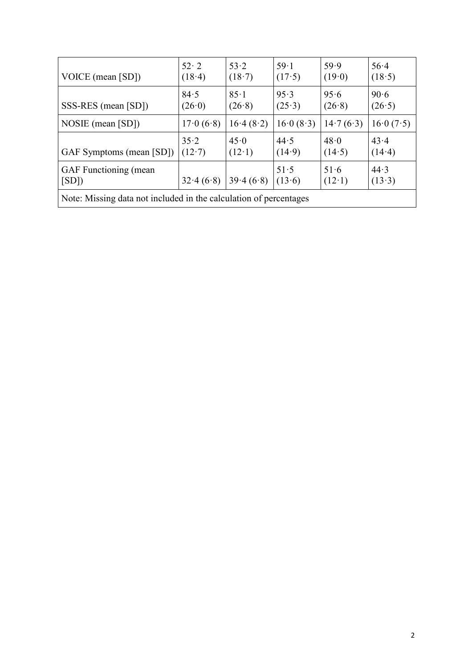| VOICE (mean [SD])                                                 | $52 \cdot 2$ | 53.2      | 59.1           | 59.9             | 56.4           |  |  |  |  |
|-------------------------------------------------------------------|--------------|-----------|----------------|------------------|----------------|--|--|--|--|
|                                                                   | (18.4)       | (18.7)    | (17.5)         | (19.0)           | (18.5)         |  |  |  |  |
| SSS-RES (mean [SD])                                               | 84.5         | $85-1$    | 95.3           | 95.6             | 90.6           |  |  |  |  |
|                                                                   | (26.0)       | (26.8)    | (25.3)         | (26.8)           | (26.5)         |  |  |  |  |
| NOSIE (mean [SD])                                                 | 17.0(6.8)    | 16.4(8.2) | 16.0(8.3)      | 14.7(6.3)        | 16.0(7.5)      |  |  |  |  |
| GAF Symptoms (mean [SD])                                          | 35.2         | 45.0      | 44.5           | 48.0             | 43.4           |  |  |  |  |
|                                                                   | $(12-7)$     | (12.1)    | (14.9)         | (14.5)           | (14.4)         |  |  |  |  |
| <b>GAF</b> Functioning (mean)<br>[SD]                             | 32.4(6.8)    | 39.4(6.8) | 51.5<br>(13.6) | 51.6<br>$(12-1)$ | 44.3<br>(13.3) |  |  |  |  |
| Note: Missing data not included in the calculation of percentages |              |           |                |                  |                |  |  |  |  |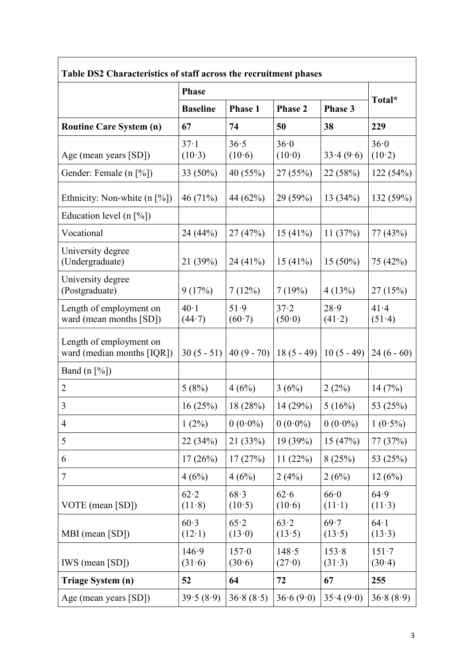| Table DS2 Characteristics of staff across the recruitment phases |                    |                                                        |                 |                         |                     |  |  |  |  |
|------------------------------------------------------------------|--------------------|--------------------------------------------------------|-----------------|-------------------------|---------------------|--|--|--|--|
|                                                                  | <b>Phase</b>       |                                                        |                 |                         |                     |  |  |  |  |
|                                                                  | <b>Baseline</b>    | Phase 1                                                | <b>Phase 2</b>  | Phase 3                 | Total*              |  |  |  |  |
| <b>Routine Care System (n)</b>                                   | 67                 | 74                                                     | 50              | 38                      | 229                 |  |  |  |  |
| Age (mean years [SD])                                            | $37 - 1$<br>(10.3) | 36.5<br>(10.6)                                         | 36.0<br>(10.0)  | 33.4(9.6)               | 36.0<br>(10.2)      |  |  |  |  |
| Gender: Female (n [%])                                           | 33 (50%)           | 40 $(55%)$                                             | 27 (55%)        | 22 (58%)                | 122(54%)            |  |  |  |  |
| Ethnicity: Non-white $(n \, 8)$                                  | 46 $(71%)$         | 44 (62%)                                               | 29 (59%)        | 13(34%)                 | 132 (59%)           |  |  |  |  |
| Education level $(n \lceil % \rceil)$                            |                    |                                                        |                 |                         |                     |  |  |  |  |
| Vocational                                                       | 24 (44%)           | 27(47%)                                                | 15(41%)         | 11(37%)                 | 77 (43%)            |  |  |  |  |
| University degree<br>(Undergraduate)                             | 21 (39%)           | 24(41%)                                                | 15(41%)         | $15(50\%)$              | 75 (42%)            |  |  |  |  |
| University degree<br>(Postgraduate)                              | 9(17%)             | 7(12%)                                                 | 7(19%)          | 4(13%)                  | 27(15%)             |  |  |  |  |
| Length of employment on<br>ward (mean months [SD])               | $40-1$<br>(44.7)   | 28.9<br>51.9<br>$37 - 2$<br>(60.7)<br>(50.0)<br>(41.2) |                 |                         | 41.4<br>(51.4)      |  |  |  |  |
| Length of employment on<br>ward (median months [IQR])            | $30(5 - 51)$       | $40(9 - 70)$                                           |                 | $18(5-49)$   10(5 - 49) | $24(6-60)$          |  |  |  |  |
| Band $(n \, [\%])$                                               |                    |                                                        |                 |                         |                     |  |  |  |  |
| $\overline{2}$                                                   | 5(8%)              | 4(6%)                                                  | 3(6%)<br>2(2%)  |                         | 14(7%)              |  |  |  |  |
| 3                                                                | 16(25%)            | 18 (28%)                                               | 14(29%)         | 5(16%)                  | 53 (25%)            |  |  |  |  |
| 4                                                                | $1(2\%)$           | $0(0.0\%)$                                             | $0(0.0\%)$      | $0(0.0\%)$              | $1(0.5\%)$          |  |  |  |  |
| 5                                                                | 22 (34%)           | 21(33%)                                                | 19(39%)         | 15(47%)                 | 77 (37%)            |  |  |  |  |
| 6                                                                | 17(26%)            | 17(27%)                                                | 11(22%)         | 8(25%)                  | 53 (25%)            |  |  |  |  |
| 7                                                                | 4(6%)              | 4(6%)                                                  | 2(4%)           | 2(6%)                   | 12(6%)              |  |  |  |  |
| VOTE (mean [SD])                                                 | 62.2<br>(11.8)     | 68.3<br>(10.5)                                         | 62.6<br>(10.6)  | 66.0<br>$(11-1)$        | 64.9<br>$(11-3)$    |  |  |  |  |
| MBI (mean [SD])                                                  | 60.3<br>(12.1)     | 65.2<br>(13.0)                                         | 63.2<br>(13.5)  | 69.7<br>(13.5)          | $64-1$<br>(13.3)    |  |  |  |  |
| IWS (mean [SD])                                                  | 146.9<br>(31.6)    | $157 - 0$<br>(30.6)                                    | 148.5<br>(27.0) | 153.8<br>(31.3)         | $151 - 7$<br>(30.4) |  |  |  |  |
| Triage System (n)                                                | 52                 | 64                                                     | 72              | 67                      | 255                 |  |  |  |  |
| Age (mean years [SD])                                            | 39.5(8.9)          | 36.8(8.5)                                              | 36.6(9.0)       | 35.4(9.0)               | 36.8(8.9)           |  |  |  |  |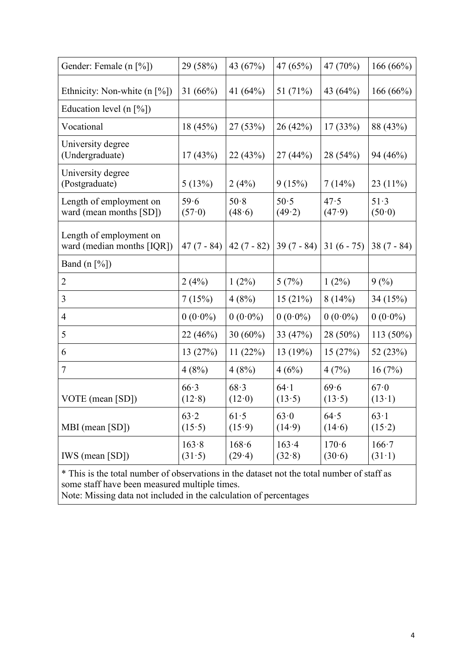| Gender: Female (n [%])                                | 29 (58%)        | 43 (67%)        | 47 (65%)        | 47 (70%)        | 166(66%)               |
|-------------------------------------------------------|-----------------|-----------------|-----------------|-----------------|------------------------|
| Ethnicity: Non-white $(n \, 8)$                       | 31 $(66%)$      | 41 $(64%)$      | 51 (71%)        | 43 $(64%)$      | 166(66%)               |
| Education level (n $[\%]$ )                           |                 |                 |                 |                 |                        |
| Vocational                                            | 18 (45%)        | 27(53%)         | 26 (42%)        | 17(33%)         | 88 (43%)               |
| University degree<br>(Undergraduate)                  | 17(43%)         | 22 (43%)        | 27 (44%)        | 28 (54%)        | 94 (46%)               |
| University degree<br>(Postgraduate)                   | 5(13%)          | 2(4%)           | 9(15%)          | 7(14%)          | $23(11\%)$             |
| Length of employment on<br>ward (mean months [SD])    | 59.6<br>(57.0)  | 50.8<br>(48.6)  | 50.5<br>(49.2)  | 47.5<br>(47.9)  | 51.3<br>(50.0)         |
| Length of employment on<br>ward (median months [IQR]) | $47(7 - 84)$    | $42(7 - 82)$    | $39(7 - 84)$    | $31(6 - 75)$    | $38(7 - 84)$           |
| Band (n $[\%]$ )                                      |                 |                 |                 |                 |                        |
| $\overline{2}$                                        | 2(4%)           | $1(2\%)$        | 5(7%)           |                 | 9(%)                   |
| 3                                                     | 7(15%)          | 4(8%)           | 15(21%)         |                 | 34 (15%)               |
| 4                                                     | $0(0.0\%)$      | $0(0.0\%)$      | $0(0.0\%)$      | $0(0.0\%)$      | $0(0.0\%)$             |
| 5                                                     | 22 (46%)        | $30(60\%)$      | 33 (47%)        | 28 (50%)        | $113(50\%)$            |
| 6                                                     | 13(27%)         | 11(22%)         | 13(19%)         | 15(27%)         | 52 (23%)               |
| $\overline{7}$                                        | 4(8%)           | 4(8%)           | 4(6%)           | 4(7%)           | 16(7%)                 |
| VOTE (mean [SD])                                      | 66.3<br>(12.8)  | 68.3<br>(12.0)  | 64.1<br>(13.5)  | 69.6<br>(13.5)  | 67.0<br>(13.1)         |
| MBI (mean [SD])                                       | 63.2<br>(15.5)  | 61.5<br>(15.9)  | 63.0<br>(14.9)  | 64.5<br>(14.6)  | $63 \cdot 1$<br>(15.2) |
| IWS (mean [SD])                                       | 163.8<br>(31.5) | 168.6<br>(29.4) | 163.4<br>(32.8) | 170.6<br>(30.6) | 166.7<br>(31.1)        |

\* This is the total number of observations in the dataset not the total number of staff as some staff have been measured multiple times.

Note: Missing data not included in the calculation of percentages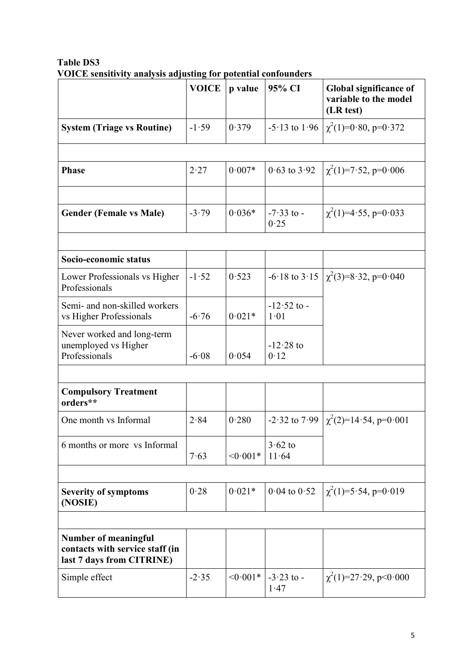**Table DS3 VOICE sensitivity analysis adjusting for potential confounders**

|                                                                                             | <b>VOICE</b> | p value   | 95% CI                | <b>Global significance of</b><br>variable to the model<br>(LR test) |
|---------------------------------------------------------------------------------------------|--------------|-----------|-----------------------|---------------------------------------------------------------------|
| <b>System (Triage vs Routine)</b>                                                           | $-1.59$      | 0.379     | $-5.13$ to $1.96$     | $\chi^2(1)=0.80$ , p=0.372                                          |
|                                                                                             |              |           |                       |                                                                     |
| <b>Phase</b>                                                                                | 2.27         | $0.007*$  | $0.63$ to $3.92$      | $\chi^2(1)=7.52$ , p=0.006                                          |
|                                                                                             |              |           |                       |                                                                     |
| <b>Gender (Female vs Male)</b>                                                              | $-3.79$      | $0.036*$  | $-7.33$ to -<br>0.25  | $\chi^2(1)=4.55$ , p=0.033                                          |
|                                                                                             |              |           |                       |                                                                     |
| Socio-economic status                                                                       |              |           |                       |                                                                     |
| Lower Professionals vs Higher<br>Professionals                                              | $-1.52$      | 0.523     |                       | $-6.18$ to $3.15 \mid \chi^2(3)=8.32$ , p=0.040                     |
| Semi- and non-skilled workers<br>vs Higher Professionals                                    | $-6.76$      | $0.021*$  | $-12.52$ to -<br>1.01 |                                                                     |
| Never worked and long-term<br>unemployed vs Higher<br>Professionals                         | $-6.08$      | 0.054     | $-12.28$ to<br>0.12   |                                                                     |
|                                                                                             |              |           |                       |                                                                     |
| <b>Compulsory Treatment</b><br>orders**                                                     |              |           |                       |                                                                     |
| One month vs Informal                                                                       | 2.84         | 0.280     |                       | -2.32 to 7.99 $\chi^2(2)=14.54$ , p=0.001                           |
| 6 months or more vs Informal                                                                | 7.63         | $<0.001*$ | $3.62$ to<br>11.64    |                                                                     |
|                                                                                             |              |           |                       |                                                                     |
| <b>Severity of symptoms</b><br>(NOSIE)                                                      | 0.28         | $0.021*$  | $0.04$ to $0.52$      | $\chi^2(1)=5.54$ , p=0.019                                          |
|                                                                                             |              |           |                       |                                                                     |
| <b>Number of meaningful</b><br>contacts with service staff (in<br>last 7 days from CITRINE) |              |           |                       |                                                                     |
| Simple effect                                                                               | $-2.35$      | $<0.001*$ | $-3.23$ to -<br>1.47  | $\chi^2(1)=27.29$ , p<0.000                                         |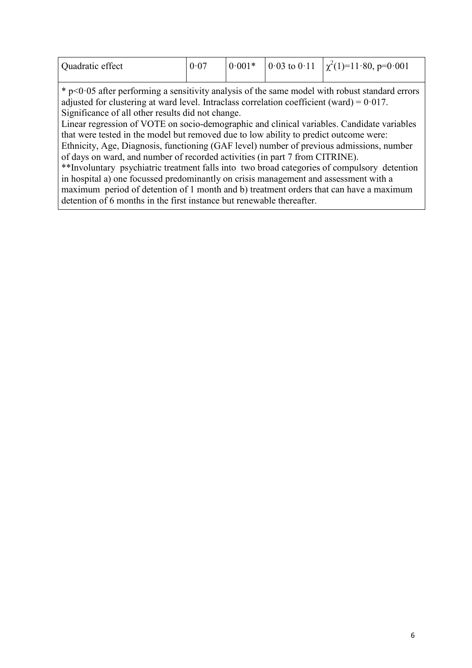| Quadratic effect | 0.07 |  |  |
|------------------|------|--|--|
|                  |      |  |  |

\* p<0·05 after performing a sensitivity analysis of the same model with robust standard errors adjusted for clustering at ward level. Intraclass correlation coefficient (ward) =  $0.017$ . Significance of all other results did not change.

Linear regression of VOTE on socio-demographic and clinical variables. Candidate variables that were tested in the model but removed due to low ability to predict outcome were:

Ethnicity, Age, Diagnosis, functioning (GAF level) number of previous admissions, number of days on ward, and number of recorded activities (in part 7 from CITRINE).

\*\*Involuntary psychiatric treatment falls into two broad categories of compulsory detention in hospital a) one focussed predominantly on crisis management and assessment with a maximum period of detention of 1 month and b) treatment orders that can have a maximum detention of 6 months in the first instance but renewable thereafter.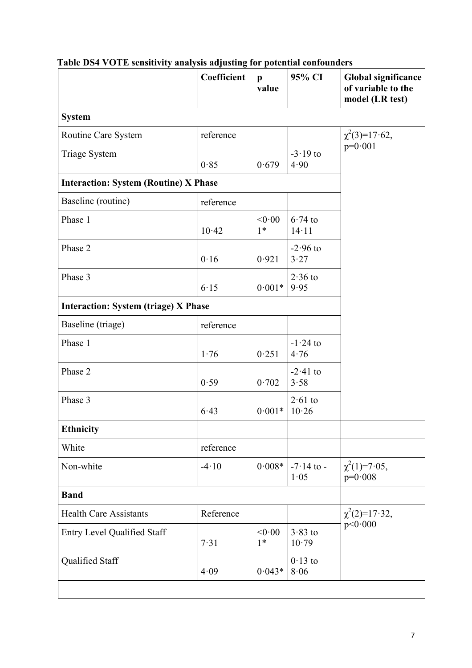|                                              | Coefficient |                | 95% CI               | <b>Global significance</b><br>of variable to the<br>model (LR test) |
|----------------------------------------------|-------------|----------------|----------------------|---------------------------------------------------------------------|
| <b>System</b>                                |             |                |                      |                                                                     |
| Routine Care System                          | reference   |                |                      | $\chi^2(3)=17.62$ ,                                                 |
| <b>Triage System</b>                         | 0.85        | 0.679          | $-3.19$ to<br>4.90   | $p=0.001$                                                           |
| <b>Interaction: System (Routine) X Phase</b> |             |                |                      |                                                                     |
| Baseline (routine)                           | reference   |                |                      |                                                                     |
| Phase 1                                      | 10.42       | < 0.00<br>$1*$ | $6.74$ to<br>14.11   |                                                                     |
| Phase 2                                      | 0.16        | 0.921          | $-2.96$ to<br>3.27   |                                                                     |
| Phase 3                                      | 6.15        | $0.001*$       | $2.36$ to<br>9.95    |                                                                     |
| <b>Interaction: System (triage) X Phase</b>  |             |                |                      |                                                                     |
| Baseline (triage)                            | reference   |                |                      |                                                                     |
| Phase 1                                      | 1.76        | 0.251          | $-1.24$ to<br>4.76   |                                                                     |
| Phase 2                                      | 0.59        | 0.702          | $-2.41$ to<br>3.58   |                                                                     |
| Phase 3                                      | 6.43        | $0.001*$       | $2.61$ to<br>10.26   |                                                                     |
| <b>Ethnicity</b>                             |             |                |                      |                                                                     |
| White                                        | reference   |                |                      |                                                                     |
| Non-white                                    | $-4.10$     | $0.008*$       | $-7.14$ to -<br>1.05 | $\chi^2(1)=7.05$ ,<br>$p=0.008$                                     |
| <b>Band</b>                                  |             |                |                      |                                                                     |
| <b>Health Care Assistants</b>                | Reference   |                |                      | $\chi^2(2)=17.32$ ,                                                 |
| <b>Entry Level Qualified Staff</b>           | 7.31        | < 0.00<br>$1*$ | $3.83$ to<br>10.79   | p < 0.000                                                           |
| Qualified Staff                              | 4.09        | $0.043*$       | $0.13$ to<br>8.06    |                                                                     |

## **Table DS4 VOTE sensitivity analysis adjusting for potential confounders**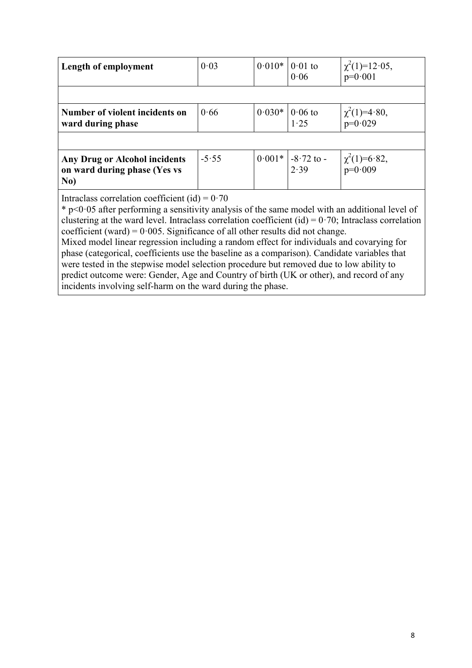| Length of employment                                                                                      | 0.03    | $\begin{array}{c c} 0.010^* & 0.01 \text{ to} \\ 0.06 & \end{array}$     | $\chi^2(1)=12.05$ ,<br>p=0.001 |
|-----------------------------------------------------------------------------------------------------------|---------|--------------------------------------------------------------------------|--------------------------------|
|                                                                                                           |         |                                                                          |                                |
| Number of violent incidents on<br>ward during phase                                                       | 0.66    | $\begin{array}{c c} 0.030^* & 0.06 \text{ to} \\ 1.25 & & \end{array}$   | $\chi^2(1)=4.80,$<br>p=0.029   |
|                                                                                                           |         |                                                                          |                                |
| Any Drug or Alcohol incidents<br>on ward during phase (Yes vs<br>No)                                      | $-5.55$ | $\begin{array}{c c} 0.001* & -8.72 \text{ to } -1 \\ 2.39 & \end{array}$ | $\chi^2(1)=6.82$ ,<br>p=0.009  |
| Intraclass correlation coefficient (id) = $0.70$<br>$\cdots$ $\alpha$ $\alpha$ $\alpha$ $\cdots$ $\cdots$ |         |                                                                          |                                |

\* p<0·05 after performing a sensitivity analysis of the same model with an additional level of clustering at the ward level. Intraclass correlation coefficient (id) =  $0.70$ ; Intraclass correlation coefficient (ward) =  $0.005$ . Significance of all other results did not change.

Mixed model linear regression including a random effect for individuals and covarying for phase (categorical, coefficients use the baseline as a comparison). Candidate variables that were tested in the stepwise model selection procedure but removed due to low ability to predict outcome were: Gender, Age and Country of birth (UK or other), and record of any incidents involving self-harm on the ward during the phase.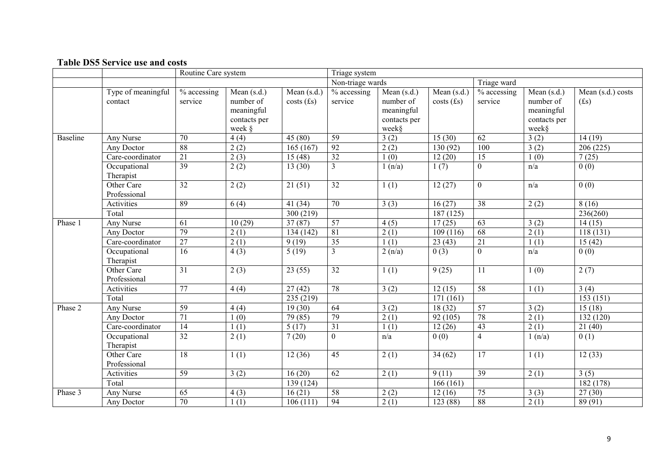|                 | radio Disc Sci vice asé and costs | Routine Care system                |                                                        |                            | Triage system            |                                                          |                            |                        |                                                          |                                |  |
|-----------------|-----------------------------------|------------------------------------|--------------------------------------------------------|----------------------------|--------------------------|----------------------------------------------------------|----------------------------|------------------------|----------------------------------------------------------|--------------------------------|--|
|                 |                                   |                                    |                                                        |                            |                          | Non-triage wards                                         |                            |                        | Triage ward                                              |                                |  |
|                 | Type of meaningful<br>contact     | $\frac{6}{6}$ accessing<br>service | Mean (s.d.)<br>number of<br>meaningful<br>contacts per | Mean $(s.d.)$<br>costs(fs) | $%$ accessing<br>service | Mean $(s.d.)$<br>number of<br>meaningful<br>contacts per | Mean $(s.d.)$<br>costs(fs) | % accessing<br>service | Mean $(s.d.)$<br>number of<br>meaningful<br>contacts per | Mean $(s.d.)$ costs<br>$(f_s)$ |  |
|                 |                                   |                                    | week $\S$                                              |                            |                          | week§                                                    |                            |                        | week§                                                    |                                |  |
| <b>Baseline</b> | Any Nurse                         | 70                                 | 4(4)                                                   | 45(80)                     | $\overline{59}$          | 3(2)                                                     | 15(30)                     | $\overline{62}$        | 3(2)                                                     | 14(19)                         |  |
|                 | Any Doctor                        | 88                                 | 2(2)                                                   | 165(167)                   | 92                       | 2(2)                                                     | 130(92)                    | 100                    | 3(2)                                                     | $\overline{206(225)}$          |  |
|                 | Care-coordinator                  | $\overline{21}$                    | 2(3)                                                   | 15(48)                     | $\overline{32}$          | 1(0)                                                     | 12(20)                     | 15                     | 1(0)                                                     | 7(25)                          |  |
|                 | Occupational<br>Therapist         | $\overline{39}$                    | 2(2)                                                   | 13(30)                     | $\overline{3}$           | $1 \left( n/a \right)$                                   | 1(7)                       | $\boldsymbol{0}$       | n/a                                                      | 0(0)                           |  |
|                 | Other Care<br>Professional        | $\overline{32}$                    | 2(2)                                                   | 21(51)                     | $\overline{32}$          | 1(1)                                                     | 12(27)                     | $\boldsymbol{0}$       | n/a                                                      | 0(0)                           |  |
|                 | Activities                        | 89                                 | 6(4)                                                   | 41(34)                     | 70                       | 3(3)                                                     | 16(27)                     | $\overline{38}$        | 2(2)                                                     | 8(16)                          |  |
|                 | Total                             |                                    |                                                        | 300(219)                   |                          |                                                          | 187(125)                   |                        |                                                          | 236(260)                       |  |
| Phase 1         | Any Nurse                         | 61                                 | 10(29)                                                 | 37(87)                     | $\overline{57}$          | 4(5)                                                     | 17(25)                     | 63                     | 3(2)                                                     | 14(15)                         |  |
|                 | Any Doctor                        | 79                                 | 2(1)                                                   | 134(142)                   | $\overline{81}$          | 2(1)                                                     | 109(116)                   | 68                     | $\overline{2(1)}$                                        | 118(131)                       |  |
|                 | Care-coordinator                  | 27                                 | 2(1)                                                   | 9(19)                      | 35                       | 1(1)                                                     | 23(43)                     | 21                     | 1(1)                                                     | 15(42)                         |  |
|                 | Occupational<br>Therapist         | 16                                 | 4(3)                                                   | 5(19)                      | $\overline{3}$           | 2(n/a)                                                   | 0(3)                       | $\mathbf{0}$           | n/a                                                      | 0(0)                           |  |
|                 | Other Care<br>Professional        | 31                                 | 2(3)                                                   | 23(55)                     | 32                       | 1(1)                                                     | 9(25)                      | 11                     | 1(0)                                                     | 2(7)                           |  |
|                 | Activities                        | 77                                 | 4(4)                                                   | 27(42)                     | 78                       | 3(2)                                                     | 12(15)                     | $\overline{58}$        | 1(1)                                                     | 3(4)                           |  |
|                 | Total                             |                                    |                                                        | 235 (219)                  |                          |                                                          | 171(161)                   |                        |                                                          | 153(151)                       |  |
| Phase 2         | Any Nurse                         | 59                                 | 4(4)                                                   | 19(30)                     | 64                       | 3(2)                                                     | 18(32)                     | 57                     | 3(2)                                                     | 15(18)                         |  |
|                 | Any Doctor                        | $\overline{71}$                    | 1(0)                                                   | 79 (85)                    | 79                       | 2(1)                                                     | 92(105)                    | 78                     | 2(1)                                                     | 132(120)                       |  |
|                 | Care-coordinator                  | $\overline{14}$                    | 1(1)                                                   | 5(17)                      | 31                       | 1(1)                                                     | 12(26)                     | $\overline{43}$        | 2(1)                                                     | 21(40)                         |  |
|                 | Occupational<br>Therapist         | $\overline{32}$                    | 2(1)                                                   | 7(20)                      | $\overline{0}$           | n/a                                                      | 0(0)                       | $\overline{4}$         | $1 \left( n/a \right)$                                   | 0(1)                           |  |
|                 | Other Care<br>Professional        | $\overline{18}$                    | 1(1)                                                   | 12(36)                     | $\overline{45}$          | 2(1)                                                     | 34(62)                     | $\overline{17}$        | 1(1)                                                     | 12(33)                         |  |
|                 | Activities                        | 59                                 | 3(2)                                                   | 16(20)                     | 62                       | 2(1)                                                     | 9(11)                      | 39                     | 2(1)                                                     | 3(5)                           |  |
|                 | Total                             |                                    |                                                        | 139 (124)                  |                          |                                                          | 166(161)                   |                        |                                                          | 182(178)                       |  |
| Phase 3         | Any Nurse                         | 65                                 | 4(3)                                                   | 16(21)                     | 58                       | 2(2)                                                     | 12(16)                     | 75                     | 3(3)                                                     | 27(30)                         |  |
|                 | Any Doctor                        | 70                                 | 1(1)                                                   | 106(111)                   | $\overline{94}$          | 2(1)                                                     | 123(88)                    | 88                     | 2(1)                                                     | 89 (91)                        |  |

### **Table DS5 Service use and costs**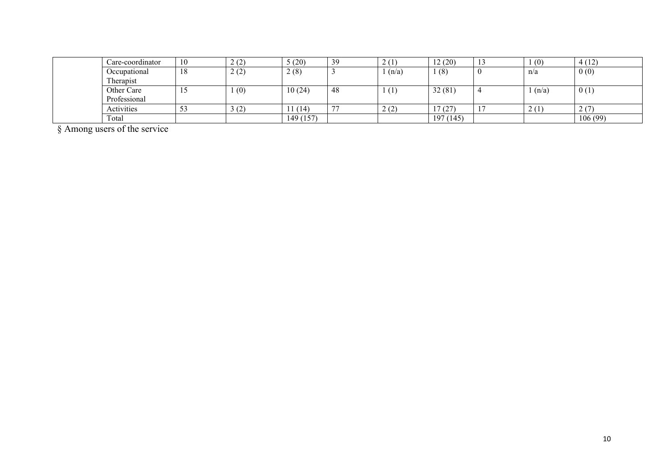| Care-coordinator | 10  | 2(2) | (20)                    | 39                       | 2(1)  | 12(20)   | (0)                            | 4(12)    |
|------------------|-----|------|-------------------------|--------------------------|-------|----------|--------------------------------|----------|
| Occupational     | 18  | 2(2) | 2(8)                    |                          | (n/a) | 1(8)     | n/a                            | 0(0)     |
| Therapist        |     |      |                         |                          |       |          |                                |          |
| Other Care       | ∸ • | (0)  | 10(24)                  | 48                       | (1)   | 32(81)   | (n/a)                          | 0(1)     |
| Professional     |     |      |                         |                          |       |          |                                |          |
| Activities       | J J | 3(2) | (14)<br>11 <sup>7</sup> | $\overline{\phantom{m}}$ | 2(2)  | 17(27)   | ←1<br>$\overline{\phantom{a}}$ | $\sim$ 1 |
| Total            |     |      | 149 (157)               |                          |       | 197(145) |                                | 106(99)  |

§ Among users of the service